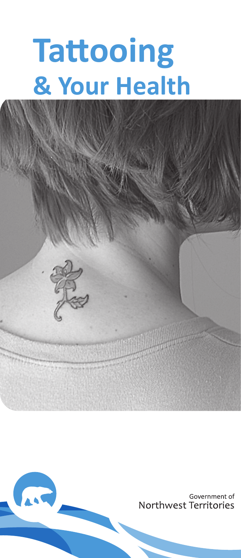# **Tattooing & Your Health**



ARD,

Government of Northwest Territories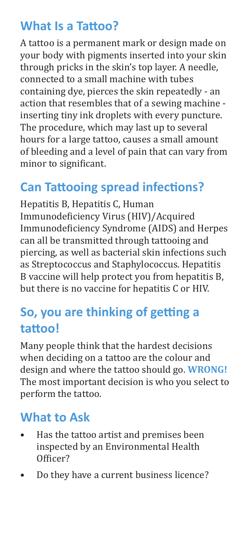#### **What Is a Tattoo?**

A tattoo is a permanent mark or design made on your body with pigments inserted into your skin through pricks in the skin's top layer. A needle, connected to a small machine with tubes containing dye, pierces the skin repeatedly - an action that resembles that of a sewing machine inserting tiny ink droplets with every puncture. The procedure, which may last up to several hours for a large tattoo, causes a small amount of bleeding and a level of pain that can vary from minor to significant.

#### **Can Tattooing spread infections?**

Hepatitis B, Hepatitis C, Human Immunodeficiency Virus (HIV)/Acquired Immunodeficiency Syndrome (AIDS) and Herpes can all be transmitted through tattooing and piercing, as well as bacterial skin infections such as Streptococcus and Staphylococcus. Hepatitis B vaccine will help protect you from hepatitis B, but there is no vaccine for hepatitis C or HIV.

#### **So, you are thinking of getting a tattoo!**

Many people think that the hardest decisions when deciding on a tattoo are the colour and design and where the tattoo should go. **WRONG!**  The most important decision is who you select to perform the tattoo.

#### **What to Ask**

- Has the tattoo artist and premises been inspected by an Environmental Health Officer?
- Do they have a current business licence?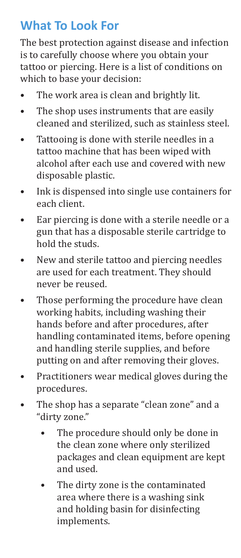#### **What To Look For**

The best protection against disease and infection is to carefully choose where you obtain your tattoo or piercing. Here is a list of conditions on which to base your decision:

- The work area is clean and brightly lit.
- The shop uses instruments that are easily cleaned and sterilized, such as stainless steel.
- Tattooing is done with sterile needles in a tattoo machine that has been wiped with alcohol after each use and covered with new disposable plastic.
- Ink is dispensed into single use containers for each client.
- Ear piercing is done with a sterile needle or a gun that has a disposable sterile cartridge to hold the studs.
- New and sterile tattoo and piercing needles are used for each treatment. They should never be reused.
- Those performing the procedure have clean working habits, including washing their hands before and after procedures, after handling contaminated items, before opening and handling sterile supplies, and before putting on and after removing their gloves.
- Practitioners wear medical gloves during the procedures.
- The shop has a separate "clean zone" and a "dirty zone."
	- The procedure should only be done in the clean zone where only sterilized packages and clean equipment are kept and used.
	- The dirty zone is the contaminated area where there is a washing sink and holding basin for disinfecting implements.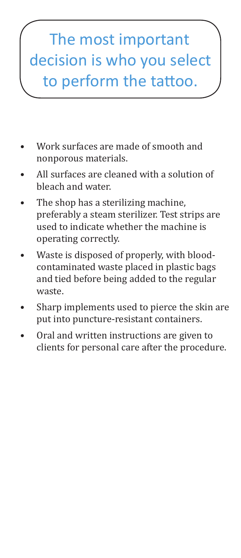## The most important decision is who you select to perform the tattoo.

- Work surfaces are made of smooth and nonporous materials.
- All surfaces are cleaned with a solution of bleach and water.
- The shop has a sterilizing machine, preferably a steam sterilizer. Test strips are used to indicate whether the machine is operating correctly.
- Waste is disposed of properly, with bloodcontaminated waste placed in plastic bags and tied before being added to the regular waste.
- Sharp implements used to pierce the skin are put into puncture-resistant containers.
- Oral and written instructions are given to clients for personal care after the procedure.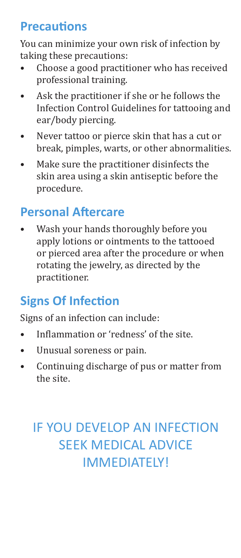#### **Precautions**

You can minimize your own risk of infection by taking these precautions:

- Choose a good practitioner who has received professional training.
- Ask the practitioner if she or he follows the Infection Control Guidelines for tattooing and ear/body piercing.
- Never tattoo or pierce skin that has a cut or break, pimples, warts, or other abnormalities.
- Make sure the practitioner disinfects the skin area using a skin antiseptic before the procedure.

#### **Personal Aftercare**

• Wash your hands thoroughly before you apply lotions or ointments to the tattooed or pierced area after the procedure or when rotating the jewelry, as directed by the practitioner.

#### **Signs Of Infection**

Signs of an infection can include:

- Inflammation or 'redness' of the site.
- Unusual soreness or pain.
- Continuing discharge of pus or matter from the site.

### IF YOU DEVELOP AN INFECTION SEEK MEDICAL ADVICE IMMEDIATELY!